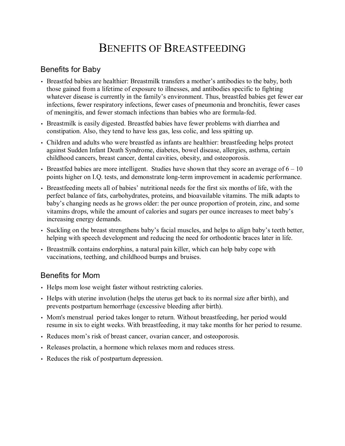# BENEFITS OF BREASTFEEDING

## Benefits for Baby

- Breastfed babies are healthier: Breastmilk transfers a mother's antibodies to the baby, both those gained from a lifetime of exposure to illnesses, and antibodies specific to fighting whatever disease is currently in the family's environment. Thus, breastfed babies get fewer ear infections, fewer respiratory infections, fewer cases of pneumonia and bronchitis, fewer cases of meningitis, and fewer stomach infections than babies who are formula-fed.
- Breastmilk is easily digested. Breastfed babies have fewer problems with diarrhea and constipation. Also, they tend to have less gas, less colic, and less spitting up.
- Children and adults who were breastfed as infants are healthier: breastfeeding helps protect against Sudden Infant Death Syndrome, diabetes, bowel disease, allergies, asthma, certain childhood cancers, breast cancer, dental cavities, obesity, and osteoporosis.
- Breastfed babies are more intelligent. Studies have shown that they score an average of  $6 10$ points higher on I.Q. tests, and demonstrate long-term improvement in academic performance.
- Breastfeeding meets all of babies' nutritional needs for the first six months of life, with the perfect balance of fats, carbohydrates, proteins, and bioavailable vitamins. The milk adapts to baby's changing needs as he grows older: the per ounce proportion of protein, zinc, and some vitamins drops, while the amount of calories and sugars per ounce increases to meet baby's increasing energy demands.
- Suckling on the breast strengthens baby's facial muscles, and helps to align baby's teeth better, helping with speech development and reducing the need for orthodontic braces later in life.
- Breastmilk contains endorphins, a natural pain killer, which can help baby cope with vaccinations, teething, and childhood bumps and bruises.

### Benefits for Mom

- Helps mom lose weight faster without restricting calories.
- Helps with uterine involution (helps the uterus get back to its normal size after birth), and prevents postpartum hemorrhage (excessive bleeding after birth).
- Mom's menstrual period takes longer to return. Without breastfeeding, her period would resume in six to eight weeks. With breastfeeding, it may take months for her period to resume.
- Reduces mom's risk of breast cancer, ovarian cancer, and osteoporosis.
- Releases prolactin, a hormone which relaxes mom and reduces stress.
- Reduces the risk of postpartum depression.